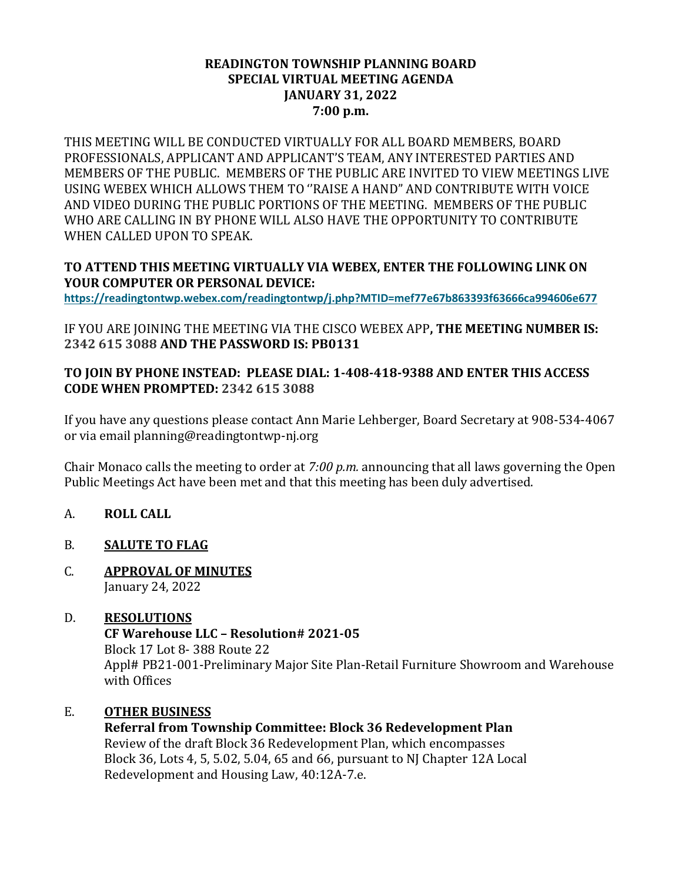#### **READINGTON TOWNSHIP PLANNING BOARD SPECIAL VIRTUAL MEETING AGENDA JANUARY 31, 2022 7:00 p.m.**

THIS MEETING WILL BE CONDUCTED VIRTUALLY FOR ALL BOARD MEMBERS, BOARD PROFESSIONALS, APPLICANT AND APPLICANT'S TEAM, ANY INTERESTED PARTIES AND MEMBERS OF THE PUBLIC. MEMBERS OF THE PUBLIC ARE INVITED TO VIEW MEETINGS LIVE USING WEBEX WHICH ALLOWS THEM TO ''RAISE A HAND" AND CONTRIBUTE WITH VOICE AND VIDEO DURING THE PUBLIC PORTIONS OF THE MEETING. MEMBERS OF THE PUBLIC WHO ARE CALLING IN BY PHONE WILL ALSO HAVE THE OPPORTUNITY TO CONTRIBUTE WHEN CALLED UPON TO SPEAK.

### **TO ATTEND THIS MEETING VIRTUALLY VIA WEBEX, ENTER THE FOLLOWING LINK ON YOUR COMPUTER OR PERSONAL DEVICE:**

**<https://readingtontwp.webex.com/readingtontwp/j.php?MTID=mef77e67b863393f63666ca994606e677>**

IF YOU ARE JOINING THE MEETING VIA THE CISCO WEBEX APP**, THE MEETING NUMBER IS: 2342 615 3088 AND THE PASSWORD IS: PB0131**

### **TO JOIN BY PHONE INSTEAD: PLEASE DIAL: 1-408-418-9388 AND ENTER THIS ACCESS CODE WHEN PROMPTED: 2342 615 3088**

If you have any questions please contact Ann Marie Lehberger, Board Secretary at 908-534-4067 or via email planning@readingtontwp-nj.org

Chair Monaco calls the meeting to order at *7:00 p.m.* announcing that all laws governing the Open Public Meetings Act have been met and that this meeting has been duly advertised.

- A. **ROLL CALL**
- B. **SALUTE TO FLAG**
- C. **APPROVAL OF MINUTES** January 24, 2022

### D. **RESOLUTIONS CF Warehouse LLC – Resolution# 2021-05** Block 17 Lot 8- 388 Route 22 Appl# PB21-001-Preliminary Major Site Plan-Retail Furniture Showroom and Warehouse with Offices

### E. **OTHER BUSINESS**

**Referral from Township Committee: Block 36 Redevelopment Plan** Review of the draft Block 36 Redevelopment Plan, which encompasses Block 36, Lots 4, 5, 5.02, 5.04, 65 and 66, pursuant to NJ Chapter 12A Local Redevelopment and Housing Law, 40:12A-7.e.